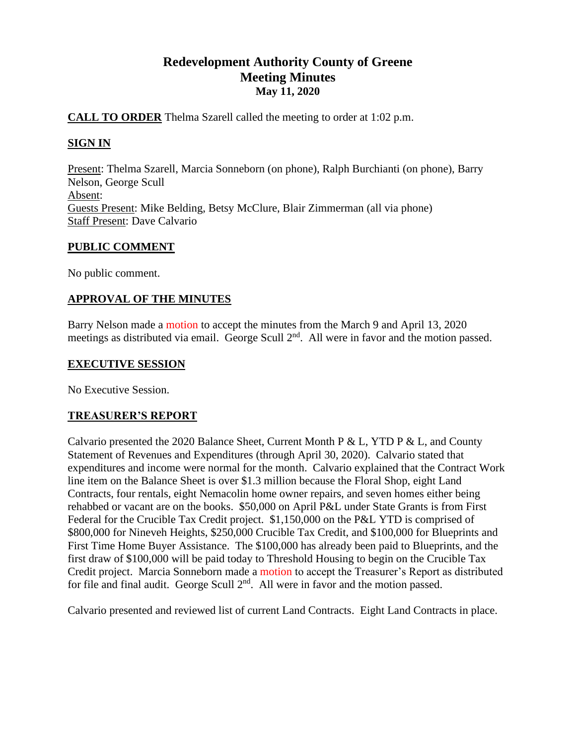# **Redevelopment Authority County of Greene Meeting Minutes May 11, 2020**

### **CALL TO ORDER** Thelma Szarell called the meeting to order at 1:02 p.m.

# **SIGN IN**

Present: Thelma Szarell, Marcia Sonneborn (on phone), Ralph Burchianti (on phone), Barry Nelson, George Scull Absent: Guests Present: Mike Belding, Betsy McClure, Blair Zimmerman (all via phone) Staff Present: Dave Calvario

### **PUBLIC COMMENT**

No public comment.

### **APPROVAL OF THE MINUTES**

Barry Nelson made a motion to accept the minutes from the March 9 and April 13, 2020 meetings as distributed via email. George Scull 2<sup>nd</sup>. All were in favor and the motion passed.

### **EXECUTIVE SESSION**

No Executive Session.

# **TREASURER'S REPORT**

Calvario presented the 2020 Balance Sheet, Current Month P & L, YTD P & L, and County Statement of Revenues and Expenditures (through April 30, 2020). Calvario stated that expenditures and income were normal for the month. Calvario explained that the Contract Work line item on the Balance Sheet is over \$1.3 million because the Floral Shop, eight Land Contracts, four rentals, eight Nemacolin home owner repairs, and seven homes either being rehabbed or vacant are on the books. \$50,000 on April P&L under State Grants is from First Federal for the Crucible Tax Credit project. \$1,150,000 on the P&L YTD is comprised of \$800,000 for Nineveh Heights, \$250,000 Crucible Tax Credit, and \$100,000 for Blueprints and First Time Home Buyer Assistance. The \$100,000 has already been paid to Blueprints, and the first draw of \$100,000 will be paid today to Threshold Housing to begin on the Crucible Tax Credit project. Marcia Sonneborn made a motion to accept the Treasurer's Report as distributed for file and final audit. George Scull  $2<sup>nd</sup>$ . All were in favor and the motion passed.

Calvario presented and reviewed list of current Land Contracts. Eight Land Contracts in place.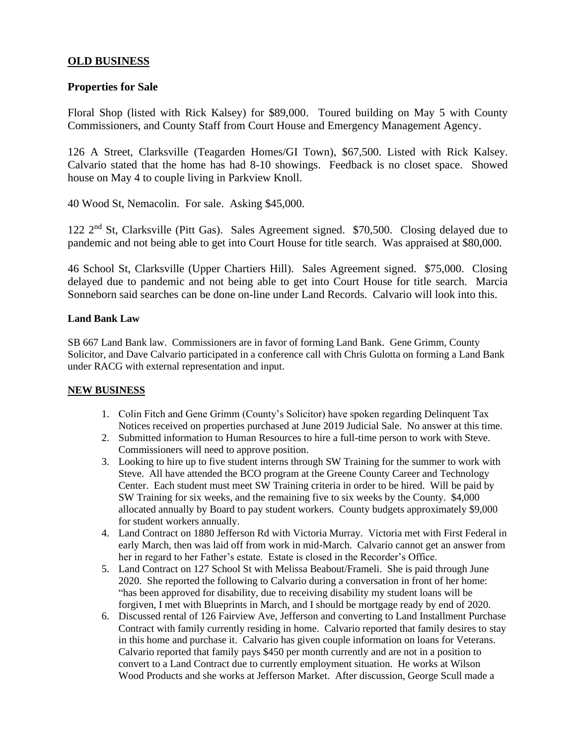#### **OLD BUSINESS**

#### **Properties for Sale**

Floral Shop (listed with Rick Kalsey) for \$89,000. Toured building on May 5 with County Commissioners, and County Staff from Court House and Emergency Management Agency.

126 A Street, Clarksville (Teagarden Homes/GI Town), \$67,500. Listed with Rick Kalsey. Calvario stated that the home has had 8-10 showings. Feedback is no closet space. Showed house on May 4 to couple living in Parkview Knoll.

40 Wood St, Nemacolin. For sale. Asking \$45,000.

122 2nd St, Clarksville (Pitt Gas). Sales Agreement signed. \$70,500. Closing delayed due to pandemic and not being able to get into Court House for title search. Was appraised at \$80,000.

46 School St, Clarksville (Upper Chartiers Hill). Sales Agreement signed. \$75,000. Closing delayed due to pandemic and not being able to get into Court House for title search. Marcia Sonneborn said searches can be done on-line under Land Records. Calvario will look into this.

#### **Land Bank Law**

SB 667 Land Bank law. Commissioners are in favor of forming Land Bank. Gene Grimm, County Solicitor, and Dave Calvario participated in a conference call with Chris Gulotta on forming a Land Bank under RACG with external representation and input.

#### **NEW BUSINESS**

- 1. Colin Fitch and Gene Grimm (County's Solicitor) have spoken regarding Delinquent Tax Notices received on properties purchased at June 2019 Judicial Sale. No answer at this time.
- 2. Submitted information to Human Resources to hire a full-time person to work with Steve. Commissioners will need to approve position.
- 3. Looking to hire up to five student interns through SW Training for the summer to work with Steve. All have attended the BCO program at the Greene County Career and Technology Center. Each student must meet SW Training criteria in order to be hired. Will be paid by SW Training for six weeks, and the remaining five to six weeks by the County. \$4,000 allocated annually by Board to pay student workers. County budgets approximately \$9,000 for student workers annually.
- 4. Land Contract on 1880 Jefferson Rd with Victoria Murray. Victoria met with First Federal in early March, then was laid off from work in mid-March. Calvario cannot get an answer from her in regard to her Father's estate. Estate is closed in the Recorder's Office.
- 5. Land Contract on 127 School St with Melissa Beabout/Frameli. She is paid through June 2020. She reported the following to Calvario during a conversation in front of her home: "has been approved for disability, due to receiving disability my student loans will be forgiven, I met with Blueprints in March, and I should be mortgage ready by end of 2020.
- 6. Discussed rental of 126 Fairview Ave, Jefferson and converting to Land Installment Purchase Contract with family currently residing in home. Calvario reported that family desires to stay in this home and purchase it. Calvario has given couple information on loans for Veterans. Calvario reported that family pays \$450 per month currently and are not in a position to convert to a Land Contract due to currently employment situation. He works at Wilson Wood Products and she works at Jefferson Market. After discussion, George Scull made a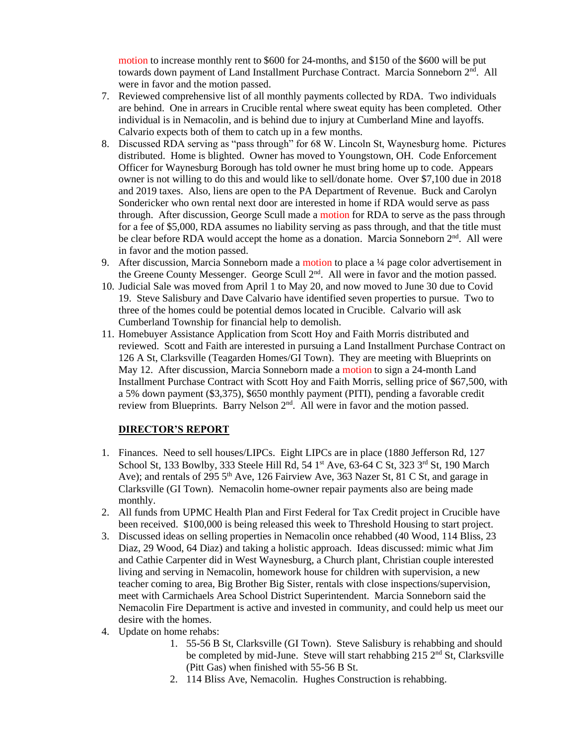motion to increase monthly rent to \$600 for 24-months, and \$150 of the \$600 will be put towards down payment of Land Installment Purchase Contract. Marcia Sonneborn 2<sup>nd</sup>. All were in favor and the motion passed.

- 7. Reviewed comprehensive list of all monthly payments collected by RDA. Two individuals are behind. One in arrears in Crucible rental where sweat equity has been completed. Other individual is in Nemacolin, and is behind due to injury at Cumberland Mine and layoffs. Calvario expects both of them to catch up in a few months.
- 8. Discussed RDA serving as "pass through" for 68 W. Lincoln St, Waynesburg home. Pictures distributed. Home is blighted. Owner has moved to Youngstown, OH. Code Enforcement Officer for Waynesburg Borough has told owner he must bring home up to code. Appears owner is not willing to do this and would like to sell/donate home. Over \$7,100 due in 2018 and 2019 taxes. Also, liens are open to the PA Department of Revenue. Buck and Carolyn Sondericker who own rental next door are interested in home if RDA would serve as pass through. After discussion, George Scull made a motion for RDA to serve as the pass through for a fee of \$5,000, RDA assumes no liability serving as pass through, and that the title must be clear before RDA would accept the home as a donation. Marcia Sonneborn  $2<sup>nd</sup>$ . All were in favor and the motion passed.
- 9. After discussion, Marcia Sonneborn made a motion to place a ¼ page color advertisement in the Greene County Messenger. George Scull 2<sup>nd</sup>. All were in favor and the motion passed.
- 10. Judicial Sale was moved from April 1 to May 20, and now moved to June 30 due to Covid 19. Steve Salisbury and Dave Calvario have identified seven properties to pursue. Two to three of the homes could be potential demos located in Crucible. Calvario will ask Cumberland Township for financial help to demolish.
- 11. Homebuyer Assistance Application from Scott Hoy and Faith Morris distributed and reviewed. Scott and Faith are interested in pursuing a Land Installment Purchase Contract on 126 A St, Clarksville (Teagarden Homes/GI Town). They are meeting with Blueprints on May 12. After discussion, Marcia Sonneborn made a motion to sign a 24-month Land Installment Purchase Contract with Scott Hoy and Faith Morris, selling price of \$67,500, with a 5% down payment (\$3,375), \$650 monthly payment (PITI), pending a favorable credit review from Blueprints. Barry Nelson 2nd. All were in favor and the motion passed.

### **DIRECTOR'S REPORT**

- 1. Finances. Need to sell houses/LIPCs. Eight LIPCs are in place (1880 Jefferson Rd, 127 School St, 133 Bowlby, 333 Steele Hill Rd, 54 1<sup>st</sup> Ave, 63-64 C St, 323 3<sup>rd</sup> St, 190 March Ave); and rentals of 295  $5<sup>th</sup>$  Ave, 126 Fairview Ave, 363 Nazer St, 81 C St, and garage in Clarksville (GI Town). Nemacolin home-owner repair payments also are being made monthly.
- 2. All funds from UPMC Health Plan and First Federal for Tax Credit project in Crucible have been received. \$100,000 is being released this week to Threshold Housing to start project.
- 3. Discussed ideas on selling properties in Nemacolin once rehabbed (40 Wood, 114 Bliss, 23 Diaz, 29 Wood, 64 Diaz) and taking a holistic approach. Ideas discussed: mimic what Jim and Cathie Carpenter did in West Waynesburg, a Church plant, Christian couple interested living and serving in Nemacolin, homework house for children with supervision, a new teacher coming to area, Big Brother Big Sister, rentals with close inspections/supervision, meet with Carmichaels Area School District Superintendent. Marcia Sonneborn said the Nemacolin Fire Department is active and invested in community, and could help us meet our desire with the homes.
- 4. Update on home rehabs:
	- 1. 55-56 B St, Clarksville (GI Town). Steve Salisbury is rehabbing and should be completed by mid-June. Steve will start rehabbing  $215 \, 2^{nd}$  St, Clarksville (Pitt Gas) when finished with 55-56 B St.
	- 2. 114 Bliss Ave, Nemacolin. Hughes Construction is rehabbing.